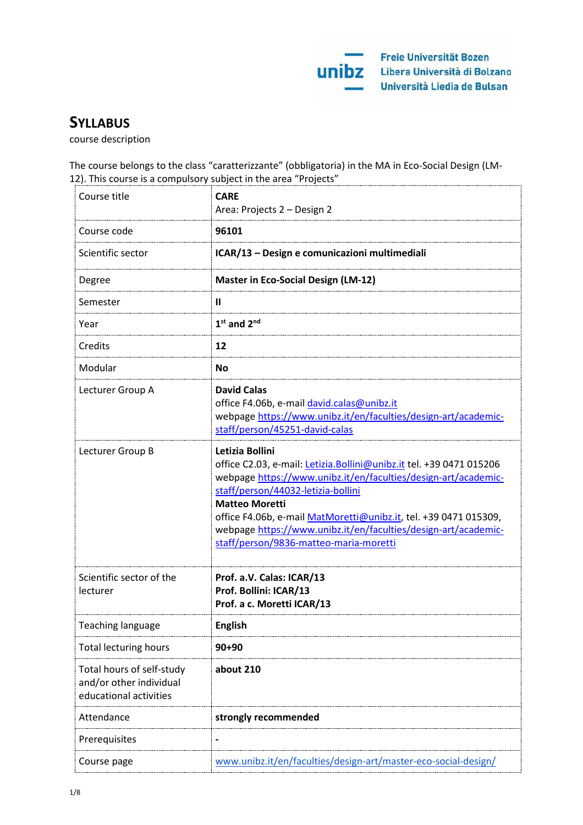# **SYLLABUS**

course description

The course belongs to the class "caratterizzante" (obbligatoria) in the MA in Eco-Social Design (LM-12). This course is a compulsory subject in the area "Projects"

| Course title                                                                   | <b>CARE</b><br>Area: Projects 2 - Design 2                                                                                                                                                                                                                                                                                                                                                               |
|--------------------------------------------------------------------------------|----------------------------------------------------------------------------------------------------------------------------------------------------------------------------------------------------------------------------------------------------------------------------------------------------------------------------------------------------------------------------------------------------------|
| Course code                                                                    | 96101                                                                                                                                                                                                                                                                                                                                                                                                    |
| Scientific sector                                                              | ICAR/13 - Design e comunicazioni multimediali                                                                                                                                                                                                                                                                                                                                                            |
| Degree                                                                         | <b>Master in Eco-Social Design (LM-12)</b>                                                                                                                                                                                                                                                                                                                                                               |
| Semester                                                                       | $\mathbf{I}$                                                                                                                                                                                                                                                                                                                                                                                             |
| Year                                                                           | $1st$ and $2nd$                                                                                                                                                                                                                                                                                                                                                                                          |
| Credits                                                                        | 12                                                                                                                                                                                                                                                                                                                                                                                                       |
| Modular                                                                        | <b>No</b>                                                                                                                                                                                                                                                                                                                                                                                                |
| Lecturer Group A                                                               | <b>David Calas</b><br>office F4.06b, e-mail david.calas@unibz.it<br>webpage https://www.unibz.it/en/faculties/design-art/academic-<br>staff/person/45251-david-calas                                                                                                                                                                                                                                     |
| Lecturer Group B                                                               | Letizia Bollini<br>office C2.03, e-mail: Letizia. Bollini@unibz.it tel. +39 0471 015206<br>webpage https://www.unibz.it/en/faculties/design-art/academic-<br>staff/person/44032-letizia-bollini<br><b>Matteo Moretti</b><br>office F4.06b, e-mail MatMoretti@unibz.it, tel. +39 0471 015309,<br>webpage https://www.unibz.it/en/faculties/design-art/academic-<br>staff/person/9836-matteo-maria-moretti |
| Scientific sector of the<br>lecturer                                           | Prof. a.V. Calas: ICAR/13<br>Prof. Bollini: ICAR/13<br>Prof. a c. Moretti ICAR/13                                                                                                                                                                                                                                                                                                                        |
| Teaching language                                                              | <b>English</b>                                                                                                                                                                                                                                                                                                                                                                                           |
| <b>Total lecturing hours</b>                                                   | $90 + 90$                                                                                                                                                                                                                                                                                                                                                                                                |
| Total hours of self-study<br>and/or other individual<br>educational activities | about 210                                                                                                                                                                                                                                                                                                                                                                                                |
| Attendance                                                                     | strongly recommended                                                                                                                                                                                                                                                                                                                                                                                     |
| Prerequisites                                                                  |                                                                                                                                                                                                                                                                                                                                                                                                          |
| Course page                                                                    | www.unibz.it/en/faculties/design-art/master-eco-social-design/                                                                                                                                                                                                                                                                                                                                           |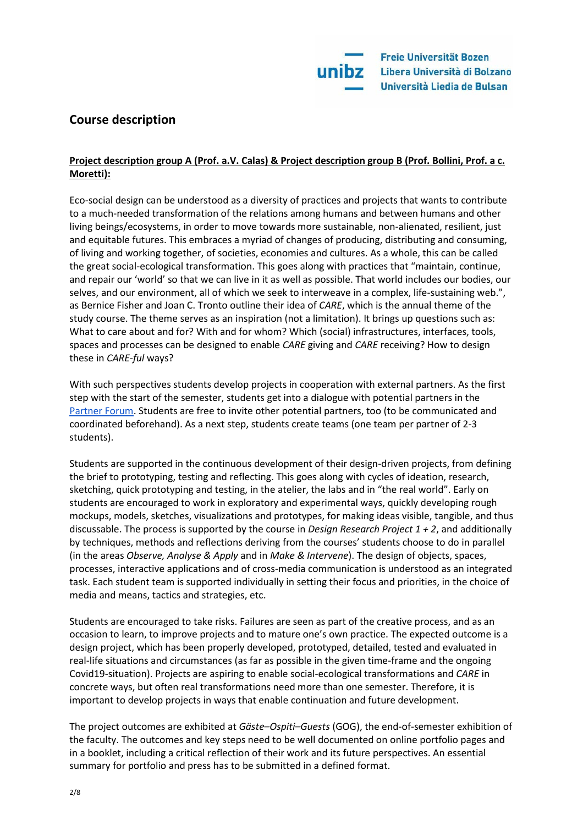# **Course description**

# **Project description group A (Prof. a.V. Calas) & Project description group B (Prof. Bollini, Prof. a c. Moretti):**

Eco-social design can be understood as a diversity of practices and projects that wants to contribute to a much-needed transformation of the relations among humans and between humans and other living beings/ecosystems, in order to move towards more sustainable, non-alienated, resilient, just and equitable futures. This embraces a myriad of changes of producing, distributing and consuming, of living and working together, of societies, economies and cultures. As a whole, this can be called the great social-ecological transformation. This goes along with practices that "maintain, continue, and repair our 'world' so that we can live in it as well as possible. That world includes our bodies, our selves, and our environment, all of which we seek to interweave in a complex, life-sustaining web.", as Bernice Fisher and Joan C. Tronto outline their idea of *CARE*, which is the annual theme of the study course. The theme serves as an inspiration (not a limitation). It brings up questions such as: What to care about and for? With and for whom? Which (social) infrastructures, interfaces, tools, spaces and processes can be designed to enable *CARE* giving and *CARE* receiving? How to design these in *CARE-ful* ways?

With such perspectives students develop projects in cooperation with external partners. As the first step with the start of the semester, students get into a dialogue with potential partners in the [Partner Forum.](https://docs.google.com/document/d/1selRegf1qgmoLPLoMHbRcrttIkLY8g8xGkr4t2AUGPw/edit?usp=sharing) Students are free to invite other potential partners, too (to be communicated and coordinated beforehand). As a next step, students create teams (one team per partner of 2-3 students).

Students are supported in the continuous development of their design-driven projects, from defining the brief to prototyping, testing and reflecting. This goes along with cycles of ideation, research, sketching, quick prototyping and testing, in the atelier, the labs and in "the real world". Early on students are encouraged to work in exploratory and experimental ways, quickly developing rough mockups, models, sketches, visualizations and prototypes, for making ideas visible, tangible, and thus discussable. The process is supported by the course in *Design Research Project 1 + 2*, and additionally by techniques, methods and reflections deriving from the courses' students choose to do in parallel (in the areas *Observe, Analyse & Apply* and in *Make & Intervene*). The design of objects, spaces, processes, interactive applications and of cross-media communication is understood as an integrated task. Each student team is supported individually in setting their focus and priorities, in the choice of media and means, tactics and strategies, etc.

Students are encouraged to take risks. Failures are seen as part of the creative process, and as an occasion to learn, to improve projects and to mature one's own practice. The expected outcome is a design project, which has been properly developed, prototyped, detailed, tested and evaluated in real-life situations and circumstances (as far as possible in the given time-frame and the ongoing Covid19-situation). Projects are aspiring to enable social-ecological transformations and *CARE* in concrete ways, but often real transformations need more than one semester. Therefore, it is important to develop projects in ways that enable continuation and future development.

The project outcomes are exhibited at *Gäste–Ospiti–Guests* (GOG), the end-of-semester exhibition of the faculty. The outcomes and key steps need to be well documented on online portfolio pages and in a booklet, including a critical reflection of their work and its future perspectives. An essential summary for portfolio and press has to be submitted in a defined format.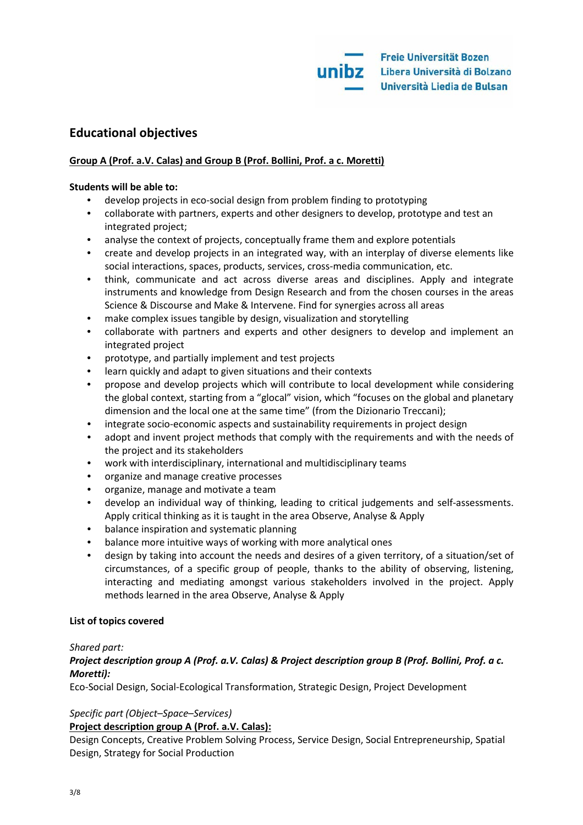# **Educational objectives**

# **Group A (Prof. a.V. Calas) and Group B (Prof. Bollini, Prof. a c. Moretti)**

# **Students will be able to:**

- develop projects in eco-social design from problem finding to prototyping
- collaborate with partners, experts and other designers to develop, prototype and test an integrated project;
- analyse the context of projects, conceptually frame them and explore potentials
- create and develop projects in an integrated way, with an interplay of diverse elements like social interactions, spaces, products, services, cross-media communication, etc.
- think, communicate and act across diverse areas and disciplines. Apply and integrate instruments and knowledge from Design Research and from the chosen courses in the areas Science & Discourse and Make & Intervene. Find for synergies across all areas
- make complex issues tangible by design, visualization and storytelling
- collaborate with partners and experts and other designers to develop and implement an integrated project
- prototype, and partially implement and test projects
- learn quickly and adapt to given situations and their contexts
- propose and develop projects which will contribute to local development while considering the global context, starting from a "glocal" vision, which "focuses on the global and planetary dimension and the local one at the same time" (from the Dizionario Treccani);
- integrate socio-economic aspects and sustainability requirements in project design
- adopt and invent project methods that comply with the requirements and with the needs of the project and its stakeholders
- work with interdisciplinary, international and multidisciplinary teams
- organize and manage creative processes
- organize, manage and motivate a team
- develop an individual way of thinking, leading to critical judgements and self-assessments. Apply critical thinking as it is taught in the area Observe, Analyse & Apply
- balance inspiration and systematic planning
- balance more intuitive ways of working with more analytical ones
- design by taking into account the needs and desires of a given territory, of a situation/set of circumstances, of a specific group of people, thanks to the ability of observing, listening, interacting and mediating amongst various stakeholders involved in the project. Apply methods learned in the area Observe, Analyse & Apply

#### **List of topics covered**

#### *Shared part:*

# *Project description group A (Prof. a.V. Calas) & Project description group B (Prof. Bollini, Prof. a c. Moretti):*

Eco-Social Design, Social-Ecological Transformation, Strategic Design, Project Development

# *Specific part (Object–Space–Services)*

#### **Project description group A (Prof. a.V. Calas):**

Design Concepts, Creative Problem Solving Process, Service Design, Social Entrepreneurship, Spatial Design, Strategy for Social Production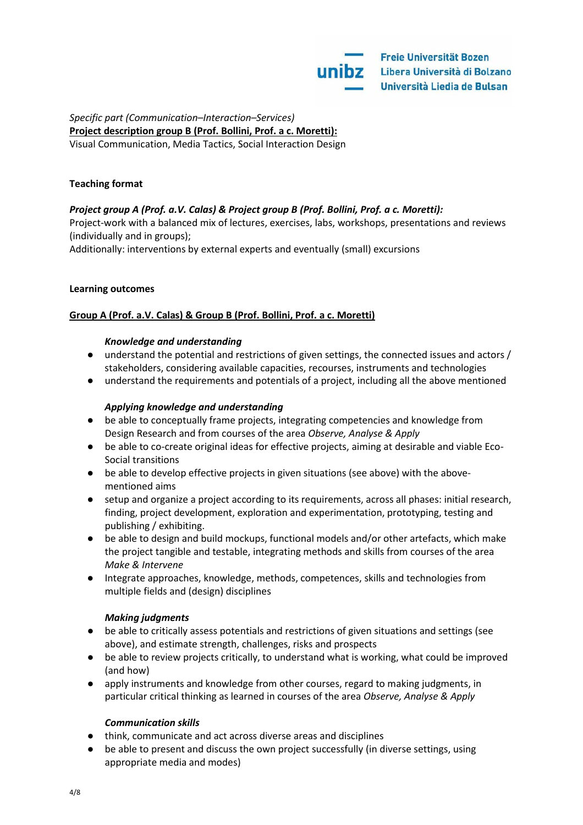#### *Specific part (Communication–Interaction–Services)* **Project description group B (Prof. Bollini, Prof. a c. Moretti):**  Visual Communication, Media Tactics, Social Interaction Design

#### **Teaching format**

# *Project group A (Prof. a.V. Calas) & Project group B (Prof. Bollini, Prof. a c. Moretti):*

Project-work with a balanced mix of lectures, exercises, labs, workshops, presentations and reviews (individually and in groups);

Additionally: interventions by external experts and eventually (small) excursions

#### **Learning outcomes**

# **Group A (Prof. a.V. Calas) & Group B (Prof. Bollini, Prof. a c. Moretti)**

#### *Knowledge and understanding*

- understand the potential and restrictions of given settings, the connected issues and actors / stakeholders, considering available capacities, recourses, instruments and technologies
- understand the requirements and potentials of a project, including all the above mentioned

# *Applying knowledge and understanding*

- be able to conceptually frame projects, integrating competencies and knowledge from Design Research and from courses of the area *Observe, Analyse & Apply*
- be able to co-create original ideas for effective projects, aiming at desirable and viable Eco-Social transitions
- be able to develop effective projects in given situations (see above) with the abovementioned aims
- setup and organize a project according to its requirements, across all phases: initial research, finding, project development, exploration and experimentation, prototyping, testing and publishing / exhibiting.
- be able to design and build mockups, functional models and/or other artefacts, which make the project tangible and testable, integrating methods and skills from courses of the area *Make & Intervene*
- Integrate approaches, knowledge, methods, competences, skills and technologies from multiple fields and (design) disciplines

#### *Making judgments*

- be able to critically assess potentials and restrictions of given situations and settings (see above), and estimate strength, challenges, risks and prospects
- be able to review projects critically, to understand what is working, what could be improved (and how)
- apply instruments and knowledge from other courses, regard to making judgments, in particular critical thinking as learned in courses of the area *Observe, Analyse & Apply*

#### *Communication skills*

- think, communicate and act across diverse areas and disciplines
- be able to present and discuss the own project successfully (in diverse settings, using appropriate media and modes)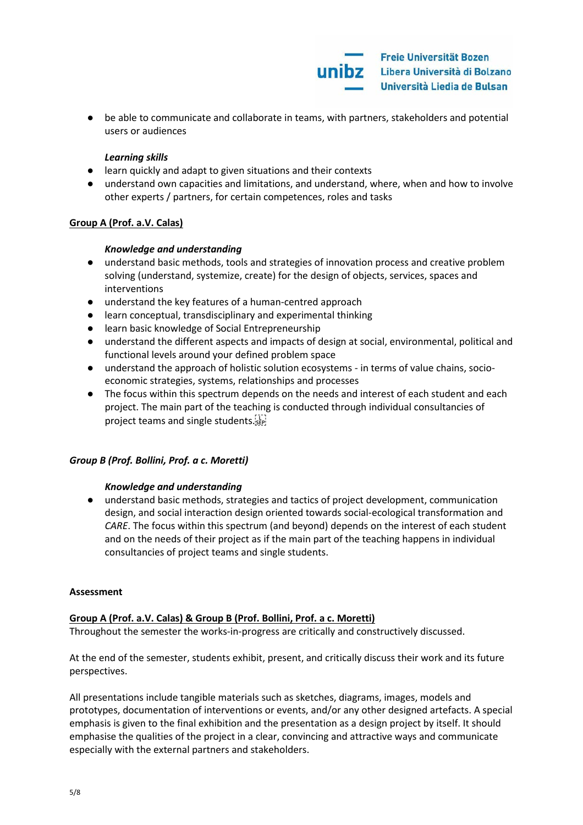

● be able to communicate and collaborate in teams, with partners, stakeholders and potential users or audiences

#### *Learning skills*

- learn quickly and adapt to given situations and their contexts
- understand own capacities and limitations, and understand, where, when and how to involve other experts / partners, for certain competences, roles and tasks

#### **Group A (Prof. a.V. Calas)**

#### *Knowledge and understanding*

- understand basic methods, tools and strategies of innovation process and creative problem solving (understand, systemize, create) for the design of objects, services, spaces and interventions
- understand the key features of a human-centred approach
- learn conceptual, transdisciplinary and experimental thinking
- learn basic knowledge of Social Entrepreneurship
- understand the different aspects and impacts of design at social, environmental, political and functional levels around your defined problem space
- understand the approach of holistic solution ecosystems in terms of value chains, socioeconomic strategies, systems, relationships and processes
- The focus within this spectrum depends on the needs and interest of each student and each project. The main part of the teaching is conducted through individual consultancies of project teams and single students.

#### *Group B (Prof. Bollini, Prof. a c. Moretti)*

#### *Knowledge and understanding*

● understand basic methods, strategies and tactics of project development, communication design, and social interaction design oriented towards social-ecological transformation and *CARE*. The focus within this spectrum (and beyond) depends on the interest of each student and on the needs of their project as if the main part of the teaching happens in individual consultancies of project teams and single students.

#### **Assessment**

#### **Group A (Prof. a.V. Calas) & Group B (Prof. Bollini, Prof. a c. Moretti)**

Throughout the semester the works-in-progress are critically and constructively discussed.

At the end of the semester, students exhibit, present, and critically discuss their work and its future perspectives.

All presentations include tangible materials such as sketches, diagrams, images, models and prototypes, documentation of interventions or events, and/or any other designed artefacts. A special emphasis is given to the final exhibition and the presentation as a design project by itself. It should emphasise the qualities of the project in a clear, convincing and attractive ways and communicate especially with the external partners and stakeholders.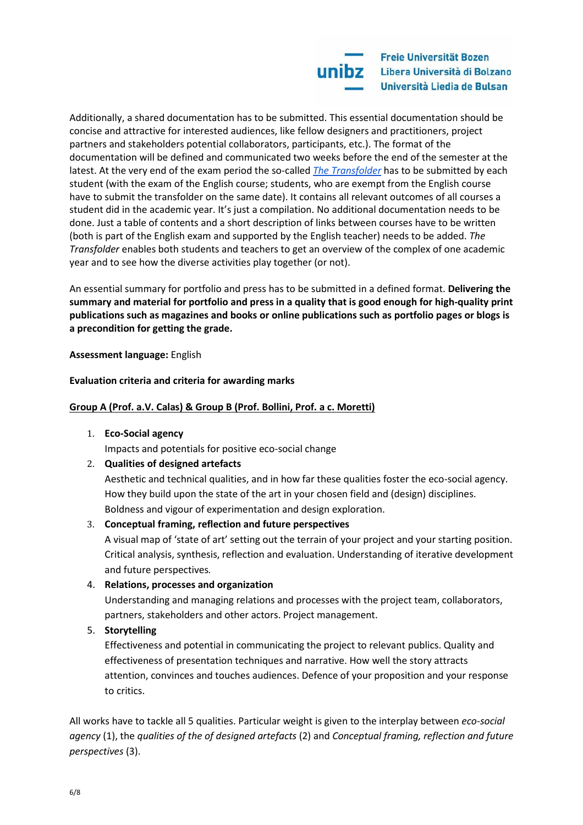Additionally, a shared documentation has to be submitted. This essential documentation should be concise and attractive for interested audiences, like fellow designers and practitioners, project partners and stakeholders potential collaborators, participants, etc.). The format of the documentation will be defined and communicated two weeks before the end of the semester at the latest. At the very end of the exam period the so-called *[The Transfolder](https://docs.google.com/document/d/1ok7oar_tqrw80F_RSatHrKX_9F1emHi2gsPuwjR4U4Q/edit?usp=sharing)* has to be submitted by each student (with the exam of the English course; students, who are exempt from the English course have to submit the transfolder on the same date). It contains all relevant outcomes of all courses a student did in the academic year. It's just a compilation. No additional documentation needs to be done. Just a table of contents and a short description of links between courses have to be written (both is part of the English exam and supported by the English teacher) needs to be added. *The Transfolder* enables both students and teachers to get an overview of the complex of one academic year and to see how the diverse activities play together (or not).

An essential summary for portfolio and press has to be submitted in a defined format. **Delivering the summary and material for portfolio and press in a quality that is good enough for high-quality print publications such as magazines and books or online publications such as portfolio pages or blogs is a precondition for getting the grade.**

**Assessment language:** English

# **Evaluation criteria and criteria for awarding marks**

# **Group A (Prof. a.V. Calas) & Group B (Prof. Bollini, Prof. a c. Moretti)**

1. **Eco-Social agency**

Impacts and potentials for positive eco-social change

# 2. **Qualities of designed artefacts**

Aesthetic and technical qualities, and in how far these qualities foster the eco-social agency. How they build upon the state of the art in your chosen field and (design) disciplines. Boldness and vigour of experimentation and design exploration.

#### 3. **Conceptual framing, reflection and future perspectives**

A visual map of 'state of art' setting out the terrain of your project and your starting position. Critical analysis, synthesis, reflection and evaluation. Understanding of iterative development and future perspectives.

#### 4. **Relations, processes and organization**

Understanding and managing relations and processes with the project team, collaborators, partners, stakeholders and other actors. Project management.

# 5. **Storytelling**

Effectiveness and potential in communicating the project to relevant publics. Quality and effectiveness of presentation techniques and narrative. How well the story attracts attention, convinces and touches audiences. Defence of your proposition and your response to critics.

All works have to tackle all 5 qualities. Particular weight is given to the interplay between *eco-social agency* (1), the *qualities of the of designed artefacts* (2) and *Conceptual framing, reflection and future perspectives* (3).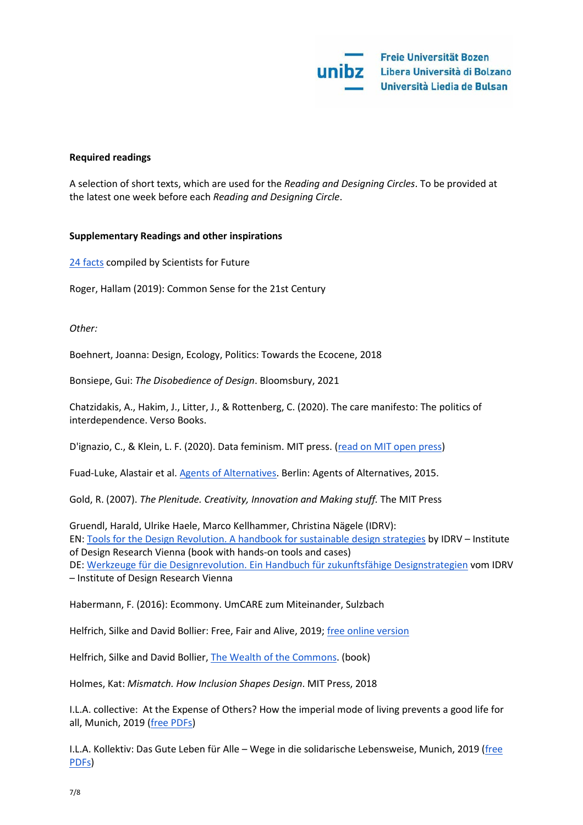

#### **Required readings**

A selection of short texts, which are used for the *Reading and Designing Circles*. To be provided at the latest one week before each *Reading and Designing Circle*.

#### **Supplementary Readings and other inspirations**

[24 facts](https://www.scientists4future.org/stellungnahme/facts-2019-03/) compiled by Scientists for Future

Roger, Hallam (2019): Common Sense for the 21st Century

*Other:* 

Boehnert, Joanna: Design, Ecology, Politics: Towards the Ecocene, 2018

Bonsiepe, Gui: *The Disobedience of Design*. Bloomsbury, 2021

Chatzidakis, A., Hakim, J., Litter, J., & Rottenberg, C. (2020). The care manifesto: The politics of interdependence. Verso Books.

D'ignazio, C., & Klein, L. F. (2020). Data feminism. MIT press. [\(read on MIT open press\)](https://data-feminism.mitpress.mit.edu/)

Fuad-Luke, Alastair et al. [Agents of Alternatives.](http://agentsofalternatives.com/?page_id=351) Berlin: Agents of Alternatives, 2015.

Gold, R. (2007). *The Plenitude. Creativity, Innovation and Making stuff.* The MIT Press

Gruendl, Harald, Ulrike Haele, Marco Kellhammer, Christina Nägele (IDRV): EN: [Tools for the Design Revolution. A handbook for sustainable design strategies](http://www.idrv.org/publications/tftdr/) by IDRV – Institute of Design Research Vienna (book with hands-on tools and cases) DE[: Werkzeuge für die Designrevolution. Ein Handbuch für zukunftsfähige Designstrategien](http://www.idrv.org/publications/wfddr/) vom IDRV – Institute of Design Research Vienna

Habermann, F. (2016): Ecommony. UmCARE zum Miteinander, Sulzbach

Helfrich, Silke and David Bollier: Free, Fair and Alive, 2019; [free online version](https://www.freefairandalive.org/read-it/)

Helfrich, Silke and David Bollier, [The Wealth of the Commons.](http://wealthofthecommons.org/) (book)

Holmes, Kat: *Mismatch. How Inclusion Shapes Design*. MIT Press, 2018

I.L.A. collective: At the Expense of Others? How the imperial mode of living prevents a good life for all, Munich, 2019 [\(free PDFs\)](https://aufkostenanderer.org/publication-in-english-language/)

I.L.A. Kollektiv: Das Gute Leben für Alle – Wege in die solidarische Lebensweise, Munich, 2019 [\(free](https://aufkostenanderer.org/publication-in-english-language/)  [PDFs\)](https://aufkostenanderer.org/publication-in-english-language/)